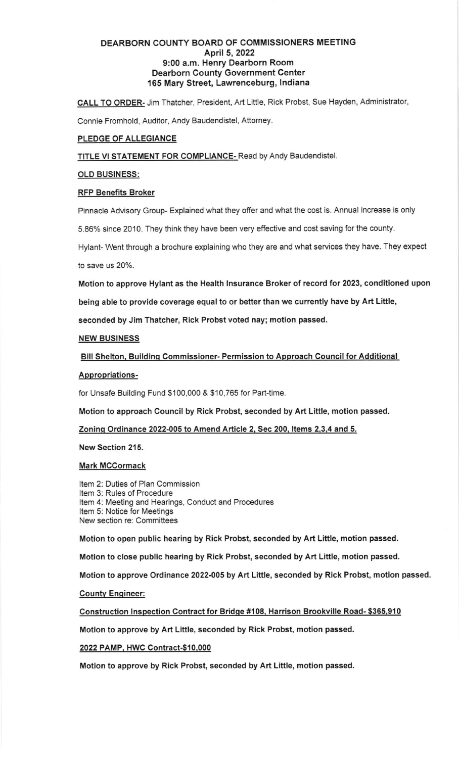# DEARBORN COUNTY BOARO OF COMMISSIONERS MEETING April 5,2022 9:00 a.m. Henry Dearborn Room Dearborn County Government Center 165 Mary Street, Lawrenceburg, lndiana

CALL TO ORDER- Jim Thatcher, President, Art Little, Rick Probst, Sue Hayden, Administrator,

Connie Fromhold, Auditor, Andy Baudendistel, Attorney

# PLEDGE OF ALLEGIANCE

TITLE VI STATEMENT FOR COMPLIANCE-Read by Andy Baudendistel.

## OLD BUSINESS:

## RFP Benefits Broker

Pinnacle Advisory Group- Explained what they offer and what the cost is. Annual increase is only

5.86% since 2010. They think they have been very effective and cost saving for the county.

Hylant- Went through a brochure explaining who they are and what services they have. They expect to save us 20%.

Motion to approve Hylant as the Health Insurance Broker of record for 2023, conditioned upon

being able to provide coverage equal to or better than we currently have by Art Little,

seconded by Jim Thatcher, Rick Probst voted nay; motion passed.

## NEW BUSINESS

Bill Shelton, Building Commissioner- Permission to Approach Council for Additional

### Appropriations-

for Unsafe Building Fund \$100,000 & \$10,765 for Part-time.

Motion to approach Council by Rick Probst, seconded by Art Little, motion passed.

Zoninq Ordinance 2022-005 to Amend Article 2. Sec 200. ltems 2.3.4 and 5.

New Section 215.

### Mark MCCormack

tem 2: D uties of Plan Commission tem 3: R ules of Procedure tem 4: M eeting and Hearings, Conduct and Procedures tem 5: N otice for Meetings New section re: Committees

Motion to open public hearing by Rick Probst, seconded by Art Liftle, motion passed.

Motion to close public hearing by Rick Probst, seconded by Art Liftle, motion passed.

Motion to approve Ordinance 2022-005 by Art Little, seconded by Rick Probst, motion passed.

### **County Engineer:**

Construction lnspection Contract for Bridqe #108. Harrison Brookville Road- \$365.910

Motion to approve by Art Liftle, seconded by Rick Probst, motion passed.

2022 PAMP. HWC Contract-\$10.000

Motion to approve by Rick Probst, seconded by Art Little, motion passed.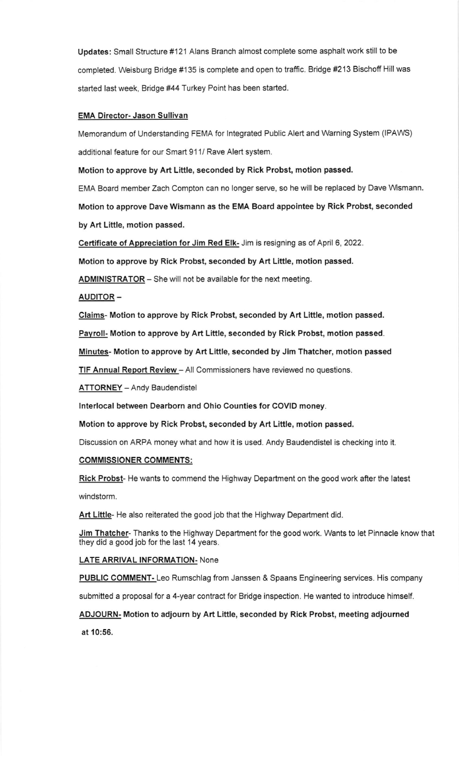Updates: Small Structure #121 Alans Branch almost complete some asphalt work still to be completed. Weisburg Bridge #135 is complete and open to traffic. Bridge #213 Bischoff Hill was started last week, Bridge #44 Turkey Point has been started.

#### EMA Director- Jason Sulliyan

Memorandum of Understanding FEMA for Integrated Public Alert and Warning System (IPAWS) additional feature for our Smart 911/ Rave Alert system.

Motion to approve by Art Little, seconded by Rick Probst, motion passed.

EMA Board member Zach Compton can no longer serve, so he will be replaced by Dave Wsmann. Motion to approve Dave Wismann as the EMA Board appointee by Rick Probst, seconded by Art Little, motion passed.

Certificate of Appreciation for Jim Red Elk- Jim is resigning as of April 6, 2022.

Motion to approve by Rick Probst, seconded by Art Little, motion passed.

ADMINISTRATOR - She will not be available for the next meeting.

#### AUDITOR -

Claims- Motion to approve by Rick Probst, seconded by Art Liftle, motion passed.

Pavroll- Motion to approve by Art Little, seconded by Rick Probst, motion passed.

Minutes- Motion to approve by Art Little, seconded by Jim Thatcher, motion passed

TIF Annual Report Review - All Commissioners have reviewed no questions.

**ATTORNEY** - Andy Baudendistel

lnterlocal between Dearborn and Ohio Counties for COVID money.

Motion to approve by Rick Probst, seconded by Art Little, motion passed.

Discussion on ARPA money what and how it is used. Andy Baudendistel is checking into it

#### COMMISSIONER COMMENTS:

Rick Probst- He wants to commend the Highway Department on the good work after the latest windstorm.

Art Little- He also reiterated the good job that the Highway Department did.

Jim Thatcher- Thanks to the Highway Department for the good work. Wants to let Pinnacle know that they did a good job for the last 14 years.

#### LATE ARRIVAL INFORMATION- None

PUBLIC COMMENT- Leo Rumschlag from Janssen & Spaans Engineering services. His company

submitted a proposal for a 4-year contract for Bridge inspection. He wanted to introduce himself.

ADJOURN- Motion to adjourn by Art Liftle, seconded by Rick Probst, meeting adjourned at 10:56.